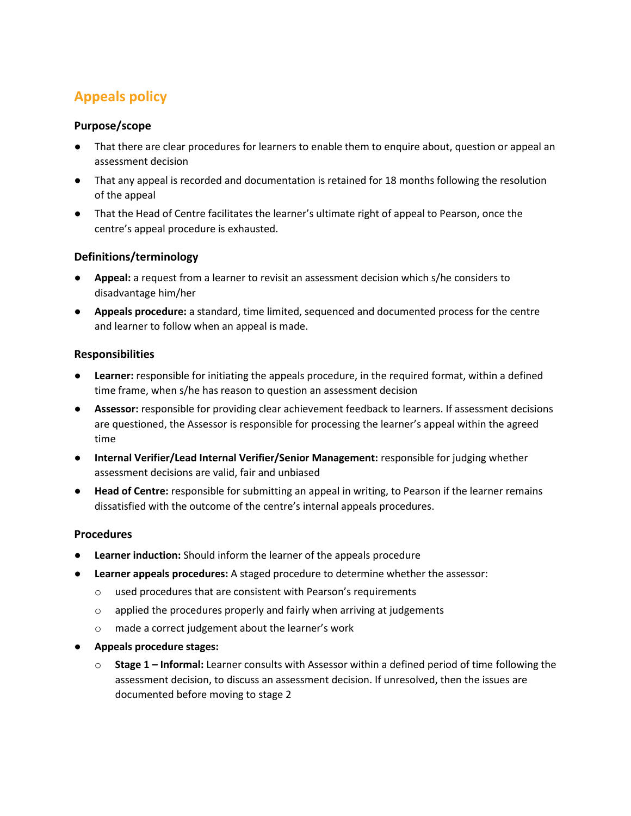# **Appeals policy**

## **Purpose/scope**

- That there are clear procedures for learners to enable them to enquire about, question or appeal an assessment decision
- That any appeal is recorded and documentation is retained for 18 months following the resolution of the appeal
- That the Head of Centre facilitates the learner's ultimate right of appeal to Pearson, once the centre's appeal procedure is exhausted.

## **Definitions/terminology**

- Appeal: a request from a learner to revisit an assessment decision which s/he considers to disadvantage him/her
- **Appeals procedure:** a standard, time limited, sequenced and documented process for the centre and learner to follow when an appeal is made.

## **Responsibilities**

- **Learner:** responsible for initiating the appeals procedure, in the required format, within a defined time frame, when s/he has reason to question an assessment decision
- **Assessor:** responsible for providing clear achievement feedback to learners. If assessment decisions are questioned, the Assessor is responsible for processing the learner's appeal within the agreed time
- **Internal Verifier/Lead Internal Verifier/Senior Management:** responsible for judging whether assessment decisions are valid, fair and unbiased
- **Head of Centre:** responsible for submitting an appeal in writing, to Pearson if the learner remains dissatisfied with the outcome of the centre's internal appeals procedures.

## **Procedures**

- **Learner induction:** Should inform the learner of the appeals procedure
- Learner appeals procedures: A staged procedure to determine whether the assessor:
	- o used procedures that are consistent with Pearson's requirements
	- o applied the procedures properly and fairly when arriving at judgements
	- o made a correct judgement about the learner's work
- **Appeals procedure stages:**
	- o **Stage 1 – Informal:** Learner consults with Assessor within a defined period of time following the assessment decision, to discuss an assessment decision. If unresolved, then the issues are documented before moving to stage 2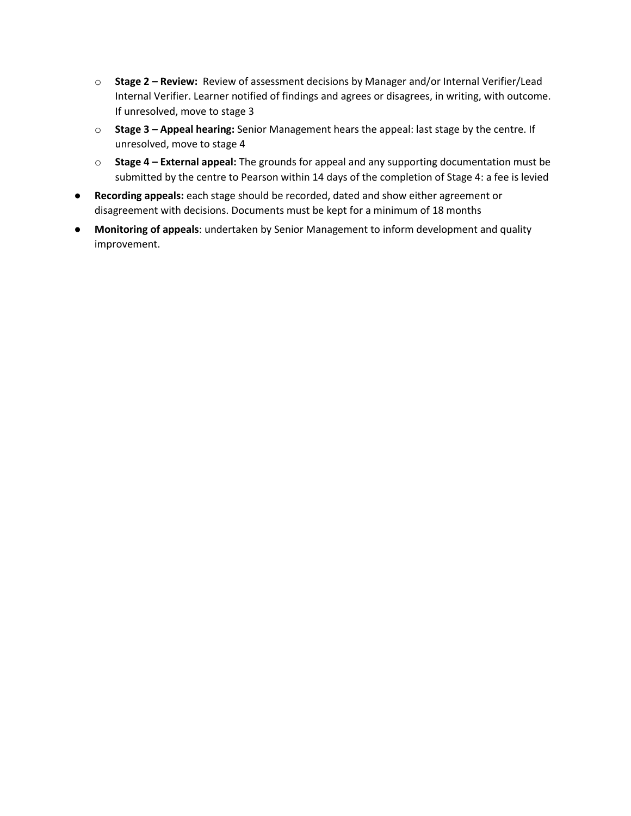- o **Stage 2 – Review:** Review of assessment decisions by Manager and/or Internal Verifier/Lead Internal Verifier. Learner notified of findings and agrees or disagrees, in writing, with outcome. If unresolved, move to stage 3
- o **Stage 3 – Appeal hearing:** Senior Management hears the appeal: last stage by the centre. If unresolved, move to stage 4
- o **Stage 4 – External appeal:** The grounds for appeal and any supporting documentation must be submitted by the centre to Pearson within 14 days of the completion of Stage 4: a fee is levied
- **Recording appeals:** each stage should be recorded, dated and show either agreement or disagreement with decisions. Documents must be kept for a minimum of 18 months
- **Monitoring of appeals**: undertaken by Senior Management to inform development and quality improvement.